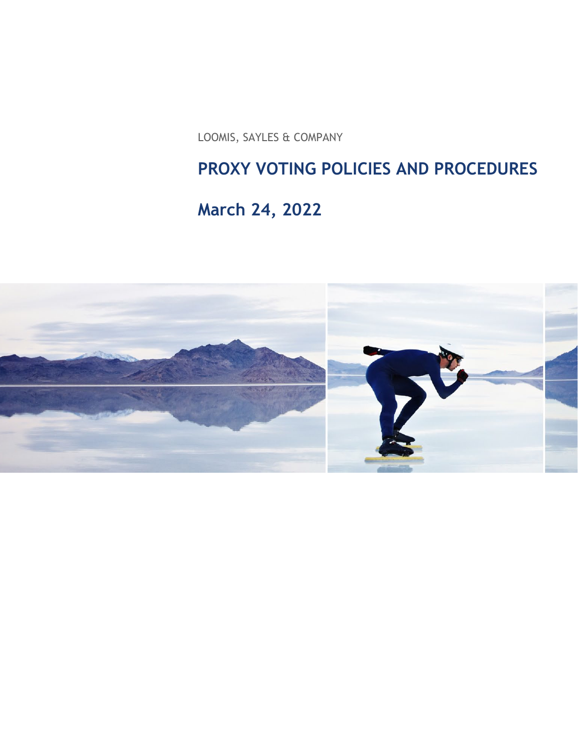LOOMIS, SAYLES & COMPANY

# **PROXY VOTING POLICIES AND PROCEDURES**

# **March 24, 2022**

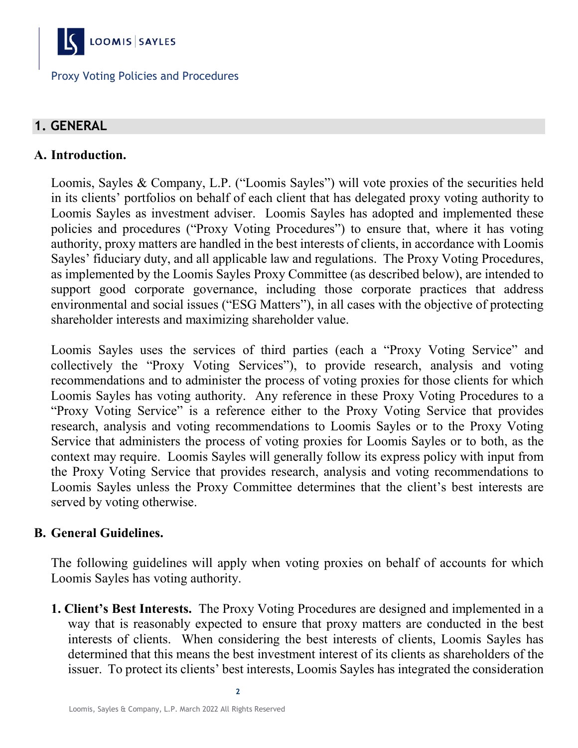

# **1. GENERAL**

# **A. Introduction.**

Loomis, Sayles & Company, L.P. ("Loomis Sayles") will vote proxies of the securities held in its clients' portfolios on behalf of each client that has delegated proxy voting authority to Loomis Sayles as investment adviser. Loomis Sayles has adopted and implemented these policies and procedures ("Proxy Voting Procedures") to ensure that, where it has voting authority, proxy matters are handled in the best interests of clients, in accordance with Loomis Sayles' fiduciary duty, and all applicable law and regulations. The Proxy Voting Procedures, as implemented by the Loomis Sayles Proxy Committee (as described below), are intended to support good corporate governance, including those corporate practices that address environmental and social issues ("ESG Matters"), in all cases with the objective of protecting shareholder interests and maximizing shareholder value.

Loomis Sayles uses the services of third parties (each a "Proxy Voting Service" and collectively the "Proxy Voting Services"), to provide research, analysis and voting recommendations and to administer the process of voting proxies for those clients for which Loomis Sayles has voting authority. Any reference in these Proxy Voting Procedures to a "Proxy Voting Service" is a reference either to the Proxy Voting Service that provides research, analysis and voting recommendations to Loomis Sayles or to the Proxy Voting Service that administers the process of voting proxies for Loomis Sayles or to both, as the context may require. Loomis Sayles will generally follow its express policy with input from the Proxy Voting Service that provides research, analysis and voting recommendations to Loomis Sayles unless the Proxy Committee determines that the client's best interests are served by voting otherwise.

#### **B. General Guidelines.**

The following guidelines will apply when voting proxies on behalf of accounts for which Loomis Sayles has voting authority.

**1. Client's Best Interests.** The Proxy Voting Procedures are designed and implemented in a way that is reasonably expected to ensure that proxy matters are conducted in the best interests of clients. When considering the best interests of clients, Loomis Sayles has determined that this means the best investment interest of its clients as shareholders of the issuer. To protect its clients' best interests, Loomis Sayles has integrated the consideration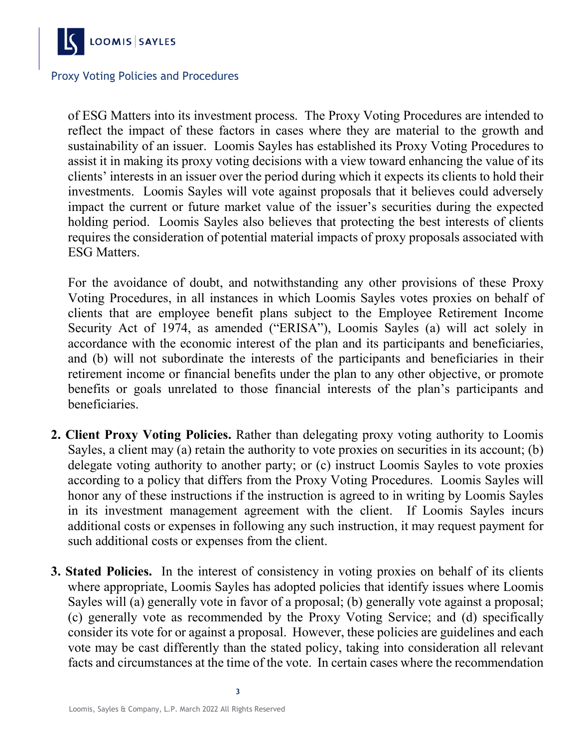

of ESG Matters into its investment process. The Proxy Voting Procedures are intended to reflect the impact of these factors in cases where they are material to the growth and sustainability of an issuer. Loomis Sayles has established its Proxy Voting Procedures to assist it in making its proxy voting decisions with a view toward enhancing the value of its clients' interests in an issuer over the period during which it expects its clients to hold their investments. Loomis Sayles will vote against proposals that it believes could adversely impact the current or future market value of the issuer's securities during the expected holding period. Loomis Sayles also believes that protecting the best interests of clients requires the consideration of potential material impacts of proxy proposals associated with ESG Matters.

For the avoidance of doubt, and notwithstanding any other provisions of these Proxy Voting Procedures, in all instances in which Loomis Sayles votes proxies on behalf of clients that are employee benefit plans subject to the Employee Retirement Income Security Act of 1974, as amended ("ERISA"), Loomis Sayles (a) will act solely in accordance with the economic interest of the plan and its participants and beneficiaries, and (b) will not subordinate the interests of the participants and beneficiaries in their retirement income or financial benefits under the plan to any other objective, or promote benefits or goals unrelated to those financial interests of the plan's participants and beneficiaries.

- **2. Client Proxy Voting Policies.** Rather than delegating proxy voting authority to Loomis Sayles, a client may (a) retain the authority to vote proxies on securities in its account; (b) delegate voting authority to another party; or (c) instruct Loomis Sayles to vote proxies according to a policy that differs from the Proxy Voting Procedures. Loomis Sayles will honor any of these instructions if the instruction is agreed to in writing by Loomis Sayles in its investment management agreement with the client. If Loomis Sayles incurs additional costs or expenses in following any such instruction, it may request payment for such additional costs or expenses from the client.
- **3. Stated Policies.** In the interest of consistency in voting proxies on behalf of its clients where appropriate, Loomis Sayles has adopted policies that identify issues where Loomis Sayles will (a) generally vote in favor of a proposal; (b) generally vote against a proposal; (c) generally vote as recommended by the Proxy Voting Service; and (d) specifically consider its vote for or against a proposal. However, these policies are guidelines and each vote may be cast differently than the stated policy, taking into consideration all relevant facts and circumstances at the time of the vote. In certain cases where the recommendation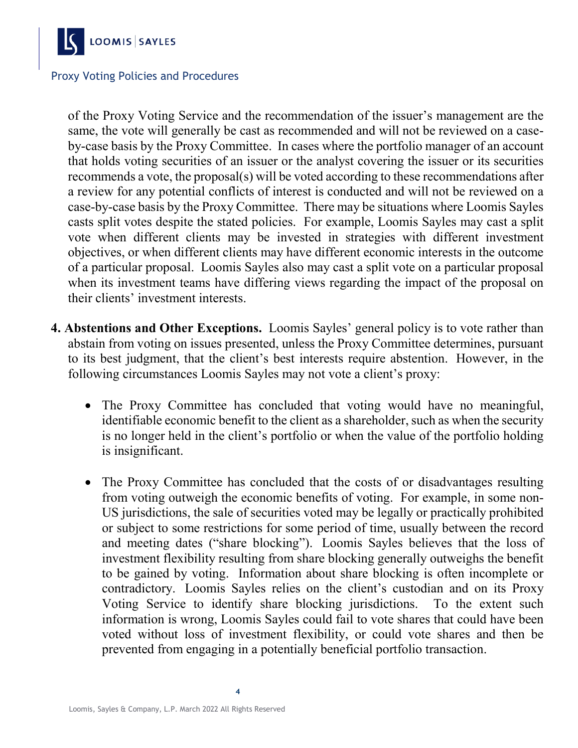

of the Proxy Voting Service and the recommendation of the issuer's management are the same, the vote will generally be cast as recommended and will not be reviewed on a caseby-case basis by the Proxy Committee. In cases where the portfolio manager of an account that holds voting securities of an issuer or the analyst covering the issuer or its securities recommends a vote, the proposal(s) will be voted according to these recommendations after a review for any potential conflicts of interest is conducted and will not be reviewed on a case-by-case basis by the Proxy Committee. There may be situations where Loomis Sayles casts split votes despite the stated policies. For example, Loomis Sayles may cast a split vote when different clients may be invested in strategies with different investment objectives, or when different clients may have different economic interests in the outcome of a particular proposal. Loomis Sayles also may cast a split vote on a particular proposal when its investment teams have differing views regarding the impact of the proposal on their clients' investment interests.

- **4. Abstentions and Other Exceptions.** Loomis Sayles' general policy is to vote rather than abstain from voting on issues presented, unless the Proxy Committee determines, pursuant to its best judgment, that the client's best interests require abstention. However, in the following circumstances Loomis Sayles may not vote a client's proxy:
	- The Proxy Committee has concluded that voting would have no meaningful, identifiable economic benefit to the client as a shareholder, such as when the security is no longer held in the client's portfolio or when the value of the portfolio holding is insignificant.
	- The Proxy Committee has concluded that the costs of or disadvantages resulting from voting outweigh the economic benefits of voting. For example, in some non-US jurisdictions, the sale of securities voted may be legally or practically prohibited or subject to some restrictions for some period of time, usually between the record and meeting dates ("share blocking"). Loomis Sayles believes that the loss of investment flexibility resulting from share blocking generally outweighs the benefit to be gained by voting. Information about share blocking is often incomplete or contradictory. Loomis Sayles relies on the client's custodian and on its Proxy Voting Service to identify share blocking jurisdictions. To the extent such information is wrong, Loomis Sayles could fail to vote shares that could have been voted without loss of investment flexibility, or could vote shares and then be prevented from engaging in a potentially beneficial portfolio transaction.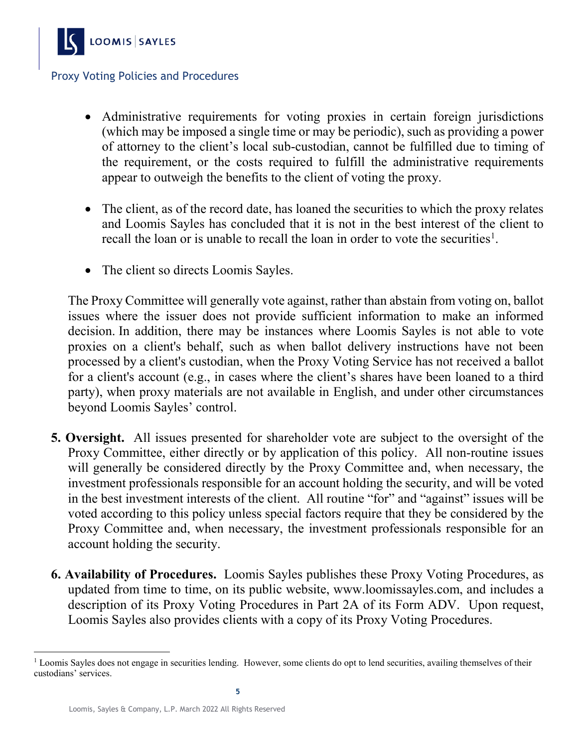

- Administrative requirements for voting proxies in certain foreign jurisdictions (which may be imposed a single time or may be periodic), such as providing a power of attorney to the client's local sub-custodian, cannot be fulfilled due to timing of the requirement, or the costs required to fulfill the administrative requirements appear to outweigh the benefits to the client of voting the proxy.
- The client, as of the record date, has loaned the securities to which the proxy relates and Loomis Sayles has concluded that it is not in the best interest of the client to recall the loan or is unable to recall the loan in order to vote the securities<sup>[1](#page-4-0)</sup>.
- The client so directs Loomis Sayles.

The Proxy Committee will generally vote against, rather than abstain from voting on, ballot issues where the issuer does not provide sufficient information to make an informed decision. In addition, there may be instances where Loomis Sayles is not able to vote proxies on a client's behalf, such as when ballot delivery instructions have not been processed by a client's custodian, when the Proxy Voting Service has not received a ballot for a client's account (e.g., in cases where the client's shares have been loaned to a third party), when proxy materials are not available in English, and under other circumstances beyond Loomis Sayles' control.

- **5. Oversight.** All issues presented for shareholder vote are subject to the oversight of the Proxy Committee, either directly or by application of this policy. All non-routine issues will generally be considered directly by the Proxy Committee and, when necessary, the investment professionals responsible for an account holding the security, and will be voted in the best investment interests of the client. All routine "for" and "against" issues will be voted according to this policy unless special factors require that they be considered by the Proxy Committee and, when necessary, the investment professionals responsible for an account holding the security.
- **6. Availability of Procedures.** Loomis Sayles publishes these Proxy Voting Procedures, as updated from time to time, on its public website, www.loomissayles.com, and includes a description of its Proxy Voting Procedures in Part 2A of its Form ADV. Upon request, Loomis Sayles also provides clients with a copy of its Proxy Voting Procedures.

<span id="page-4-0"></span><sup>&</sup>lt;sup>1</sup> Loomis Sayles does not engage in securities lending. However, some clients do opt to lend securities, availing themselves of their custodians' services.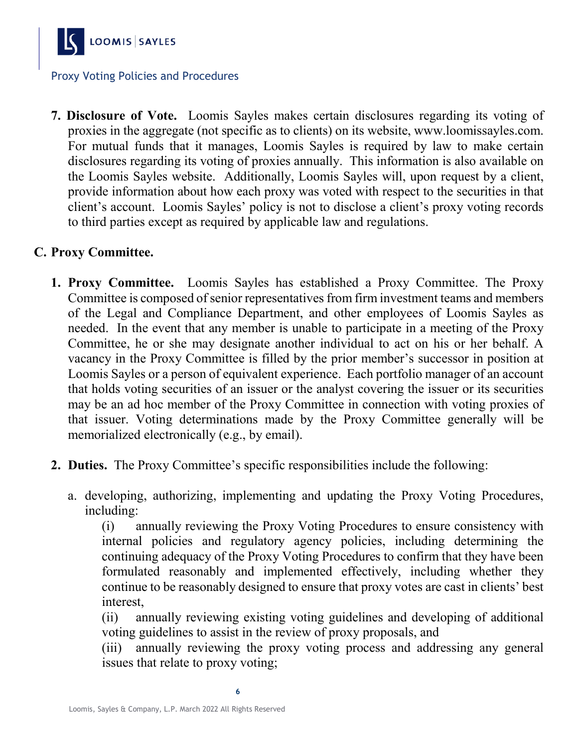

**7. Disclosure of Vote.** Loomis Sayles makes certain disclosures regarding its voting of proxies in the aggregate (not specific as to clients) on its website, www.loomissayles.com. For mutual funds that it manages, Loomis Sayles is required by law to make certain disclosures regarding its voting of proxies annually. This information is also available on the Loomis Sayles website. Additionally, Loomis Sayles will, upon request by a client, provide information about how each proxy was voted with respect to the securities in that client's account. Loomis Sayles' policy is not to disclose a client's proxy voting records to third parties except as required by applicable law and regulations.

#### **C. Proxy Committee.**

- **1. Proxy Committee.** Loomis Sayles has established a Proxy Committee. The Proxy Committee is composed of senior representatives from firm investment teams and members of the Legal and Compliance Department, and other employees of Loomis Sayles as needed. In the event that any member is unable to participate in a meeting of the Proxy Committee, he or she may designate another individual to act on his or her behalf. A vacancy in the Proxy Committee is filled by the prior member's successor in position at Loomis Sayles or a person of equivalent experience. Each portfolio manager of an account that holds voting securities of an issuer or the analyst covering the issuer or its securities may be an ad hoc member of the Proxy Committee in connection with voting proxies of that issuer. Voting determinations made by the Proxy Committee generally will be memorialized electronically (e.g., by email).
- **2. Duties.** The Proxy Committee's specific responsibilities include the following:
	- a. developing, authorizing, implementing and updating the Proxy Voting Procedures, including:

(i) annually reviewing the Proxy Voting Procedures to ensure consistency with internal policies and regulatory agency policies, including determining the continuing adequacy of the Proxy Voting Procedures to confirm that they have been formulated reasonably and implemented effectively, including whether they continue to be reasonably designed to ensure that proxy votes are cast in clients' best interest,

(ii) annually reviewing existing voting guidelines and developing of additional voting guidelines to assist in the review of proxy proposals, and

(iii) annually reviewing the proxy voting process and addressing any general issues that relate to proxy voting;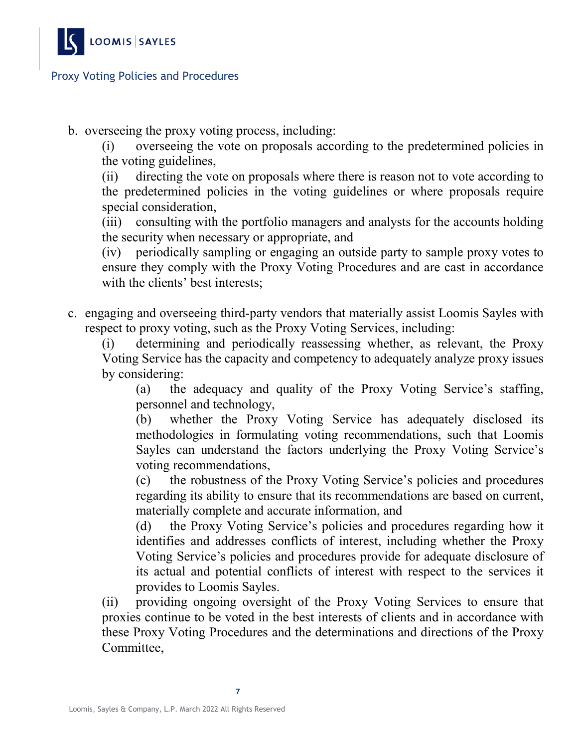

b. overseeing the proxy voting process, including:

(i) overseeing the vote on proposals according to the predetermined policies in the voting guidelines,

(ii) directing the vote on proposals where there is reason not to vote according to the predetermined policies in the voting guidelines or where proposals require special consideration,

(iii) consulting with the portfolio managers and analysts for the accounts holding the security when necessary or appropriate, and

(iv) periodically sampling or engaging an outside party to sample proxy votes to ensure they comply with the Proxy Voting Procedures and are cast in accordance with the clients' best interests;

c. engaging and overseeing third-party vendors that materially assist Loomis Sayles with respect to proxy voting, such as the Proxy Voting Services, including:

(i) determining and periodically reassessing whether, as relevant, the Proxy Voting Service has the capacity and competency to adequately analyze proxy issues by considering:

(a) the adequacy and quality of the Proxy Voting Service's staffing, personnel and technology,

(b) whether the Proxy Voting Service has adequately disclosed its methodologies in formulating voting recommendations, such that Loomis Sayles can understand the factors underlying the Proxy Voting Service's voting recommendations,

(c) the robustness of the Proxy Voting Service's policies and procedures regarding its ability to ensure that its recommendations are based on current, materially complete and accurate information, and

(d) the Proxy Voting Service's policies and procedures regarding how it identifies and addresses conflicts of interest, including whether the Proxy Voting Service's policies and procedures provide for adequate disclosure of its actual and potential conflicts of interest with respect to the services it provides to Loomis Sayles.

(ii) providing ongoing oversight of the Proxy Voting Services to ensure that proxies continue to be voted in the best interests of clients and in accordance with these Proxy Voting Procedures and the determinations and directions of the Proxy Committee,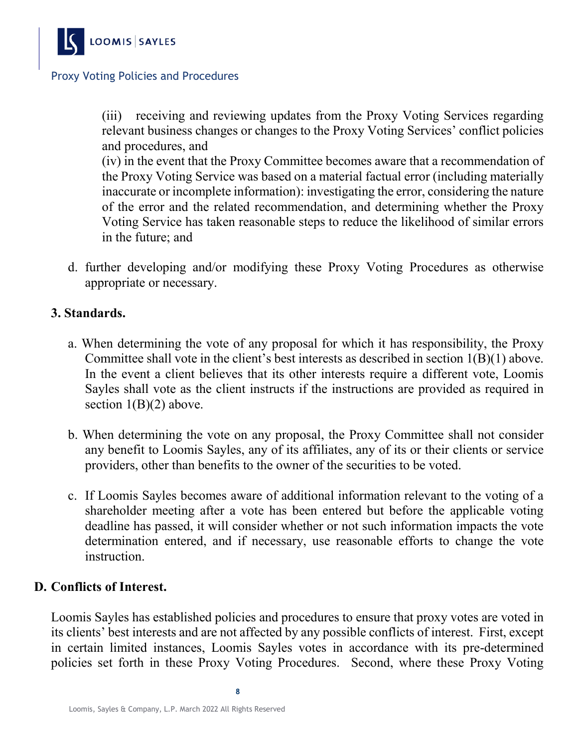

(iii) receiving and reviewing updates from the Proxy Voting Services regarding relevant business changes or changes to the Proxy Voting Services' conflict policies and procedures, and

(iv) in the event that the Proxy Committee becomes aware that a recommendation of the Proxy Voting Service was based on a material factual error (including materially inaccurate or incomplete information): investigating the error, considering the nature of the error and the related recommendation, and determining whether the Proxy Voting Service has taken reasonable steps to reduce the likelihood of similar errors in the future; and

d. further developing and/or modifying these Proxy Voting Procedures as otherwise appropriate or necessary.

#### **3. Standards.**

- a. When determining the vote of any proposal for which it has responsibility, the Proxy Committee shall vote in the client's best interests as described in section 1(B)(1) above. In the event a client believes that its other interests require a different vote, Loomis Sayles shall vote as the client instructs if the instructions are provided as required in section  $1(B)(2)$  above.
- b. When determining the vote on any proposal, the Proxy Committee shall not consider any benefit to Loomis Sayles, any of its affiliates, any of its or their clients or service providers, other than benefits to the owner of the securities to be voted.
- c. If Loomis Sayles becomes aware of additional information relevant to the voting of a shareholder meeting after a vote has been entered but before the applicable voting deadline has passed, it will consider whether or not such information impacts the vote determination entered, and if necessary, use reasonable efforts to change the vote instruction.

#### **D. Conflicts of Interest.**

Loomis Sayles has established policies and procedures to ensure that proxy votes are voted in its clients' best interests and are not affected by any possible conflicts of interest. First, except in certain limited instances, Loomis Sayles votes in accordance with its pre-determined policies set forth in these Proxy Voting Procedures. Second, where these Proxy Voting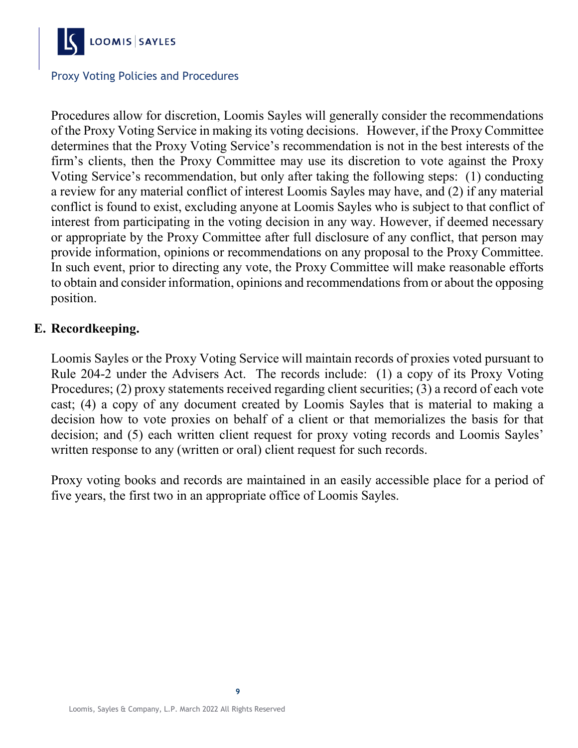

Procedures allow for discretion, Loomis Sayles will generally consider the recommendations of the Proxy Voting Service in making its voting decisions. However, if the Proxy Committee determines that the Proxy Voting Service's recommendation is not in the best interests of the firm's clients, then the Proxy Committee may use its discretion to vote against the Proxy Voting Service's recommendation, but only after taking the following steps: (1) conducting a review for any material conflict of interest Loomis Sayles may have, and (2) if any material conflict is found to exist, excluding anyone at Loomis Sayles who is subject to that conflict of interest from participating in the voting decision in any way. However, if deemed necessary or appropriate by the Proxy Committee after full disclosure of any conflict, that person may provide information, opinions or recommendations on any proposal to the Proxy Committee. In such event, prior to directing any vote, the Proxy Committee will make reasonable efforts to obtain and consider information, opinions and recommendations from or about the opposing position.

#### **E. Recordkeeping.**

Loomis Sayles or the Proxy Voting Service will maintain records of proxies voted pursuant to Rule 204-2 under the Advisers Act. The records include: (1) a copy of its Proxy Voting Procedures; (2) proxy statements received regarding client securities; (3) a record of each vote cast; (4) a copy of any document created by Loomis Sayles that is material to making a decision how to vote proxies on behalf of a client or that memorializes the basis for that decision; and (5) each written client request for proxy voting records and Loomis Sayles' written response to any (written or oral) client request for such records.

Proxy voting books and records are maintained in an easily accessible place for a period of five years, the first two in an appropriate office of Loomis Sayles.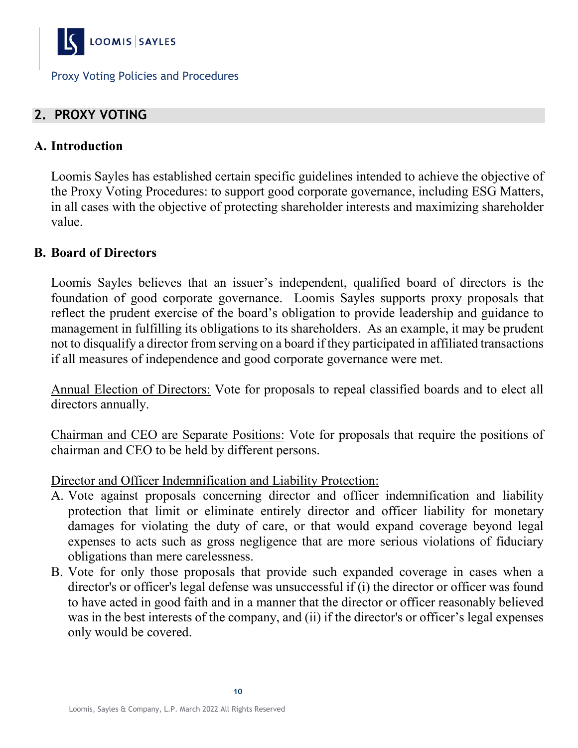

# **2. PROXY VOTING**

#### **A. Introduction**

Loomis Sayles has established certain specific guidelines intended to achieve the objective of the Proxy Voting Procedures: to support good corporate governance, including ESG Matters, in all cases with the objective of protecting shareholder interests and maximizing shareholder value.

### **B. Board of Directors**

Loomis Sayles believes that an issuer's independent, qualified board of directors is the foundation of good corporate governance. Loomis Sayles supports proxy proposals that reflect the prudent exercise of the board's obligation to provide leadership and guidance to management in fulfilling its obligations to its shareholders. As an example, it may be prudent not to disqualify a director from serving on a board if they participated in affiliated transactions if all measures of independence and good corporate governance were met.

Annual Election of Directors: Vote for proposals to repeal classified boards and to elect all directors annually.

Chairman and CEO are Separate Positions: Vote for proposals that require the positions of chairman and CEO to be held by different persons.

Director and Officer Indemnification and Liability Protection:

- A. Vote against proposals concerning director and officer indemnification and liability protection that limit or eliminate entirely director and officer liability for monetary damages for violating the duty of care, or that would expand coverage beyond legal expenses to acts such as gross negligence that are more serious violations of fiduciary obligations than mere carelessness.
- B. Vote for only those proposals that provide such expanded coverage in cases when a director's or officer's legal defense was unsuccessful if (i) the director or officer was found to have acted in good faith and in a manner that the director or officer reasonably believed was in the best interests of the company, and (ii) if the director's or officer's legal expenses only would be covered.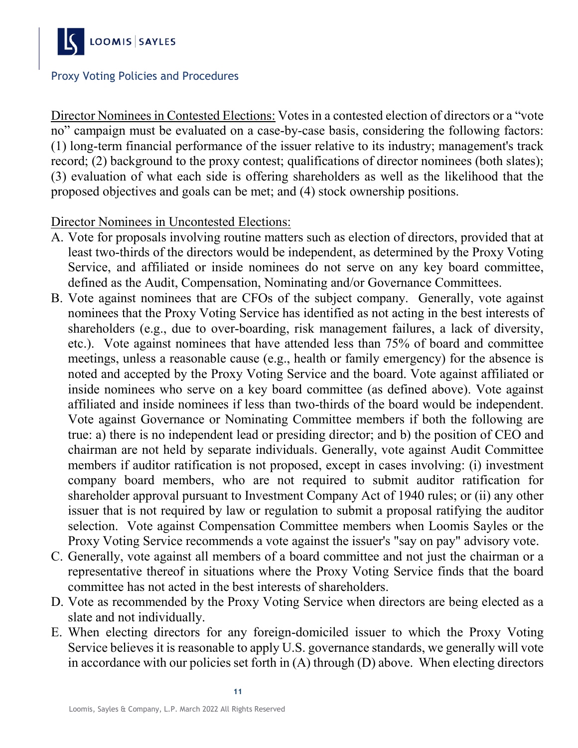

Director Nominees in Contested Elections: Votes in a contested election of directors or a "vote no" campaign must be evaluated on a case-by-case basis, considering the following factors: (1) long-term financial performance of the issuer relative to its industry; management's track record; (2) background to the proxy contest; qualifications of director nominees (both slates); (3) evaluation of what each side is offering shareholders as well as the likelihood that the proposed objectives and goals can be met; and (4) stock ownership positions.

Director Nominees in Uncontested Elections:

- A. Vote for proposals involving routine matters such as election of directors, provided that at least two-thirds of the directors would be independent, as determined by the Proxy Voting Service, and affiliated or inside nominees do not serve on any key board committee, defined as the Audit, Compensation, Nominating and/or Governance Committees.
- B. Vote against nominees that are CFOs of the subject company. Generally, vote against nominees that the Proxy Voting Service has identified as not acting in the best interests of shareholders (e.g., due to over-boarding, risk management failures, a lack of diversity, etc.). Vote against nominees that have attended less than 75% of board and committee meetings, unless a reasonable cause (e.g., health or family emergency) for the absence is noted and accepted by the Proxy Voting Service and the board. Vote against affiliated or inside nominees who serve on a key board committee (as defined above). Vote against affiliated and inside nominees if less than two-thirds of the board would be independent. Vote against Governance or Nominating Committee members if both the following are true: a) there is no independent lead or presiding director; and b) the position of CEO and chairman are not held by separate individuals. Generally, vote against Audit Committee members if auditor ratification is not proposed, except in cases involving: (i) investment company board members, who are not required to submit auditor ratification for shareholder approval pursuant to Investment Company Act of 1940 rules; or (ii) any other issuer that is not required by law or regulation to submit a proposal ratifying the auditor selection. Vote against Compensation Committee members when Loomis Sayles or the Proxy Voting Service recommends a vote against the issuer's "say on pay" advisory vote.
- C. Generally, vote against all members of a board committee and not just the chairman or a representative thereof in situations where the Proxy Voting Service finds that the board committee has not acted in the best interests of shareholders.
- D. Vote as recommended by the Proxy Voting Service when directors are being elected as a slate and not individually.
- E. When electing directors for any foreign-domiciled issuer to which the Proxy Voting Service believes it is reasonable to apply U.S. governance standards, we generally will vote in accordance with our policies set forth in (A) through (D) above. When electing directors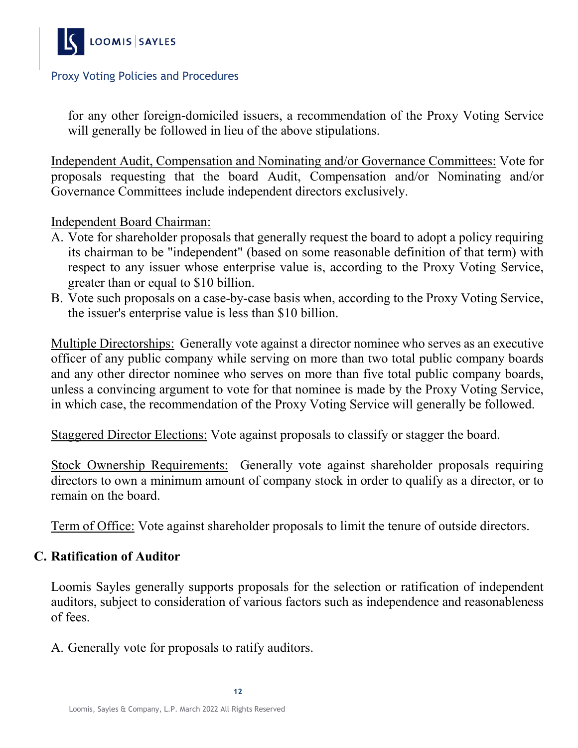

for any other foreign-domiciled issuers, a recommendation of the Proxy Voting Service will generally be followed in lieu of the above stipulations.

Independent Audit, Compensation and Nominating and/or Governance Committees: Vote for proposals requesting that the board Audit, Compensation and/or Nominating and/or Governance Committees include independent directors exclusively.

#### Independent Board Chairman:

- A. Vote for shareholder proposals that generally request the board to adopt a policy requiring its chairman to be "independent" (based on some reasonable definition of that term) with respect to any issuer whose enterprise value is, according to the Proxy Voting Service, greater than or equal to \$10 billion.
- B. Vote such proposals on a case-by-case basis when, according to the Proxy Voting Service, the issuer's enterprise value is less than \$10 billion.

Multiple Directorships: Generally vote against a director nominee who serves as an executive officer of any public company while serving on more than two total public company boards and any other director nominee who serves on more than five total public company boards, unless a convincing argument to vote for that nominee is made by the Proxy Voting Service, in which case, the recommendation of the Proxy Voting Service will generally be followed.

Staggered Director Elections: Vote against proposals to classify or stagger the board.

Stock Ownership Requirements: Generally vote against shareholder proposals requiring directors to own a minimum amount of company stock in order to qualify as a director, or to remain on the board.

Term of Office: Vote against shareholder proposals to limit the tenure of outside directors.

#### **C. Ratification of Auditor**

Loomis Sayles generally supports proposals for the selection or ratification of independent auditors, subject to consideration of various factors such as independence and reasonableness of fees.

A. Generally vote for proposals to ratify auditors.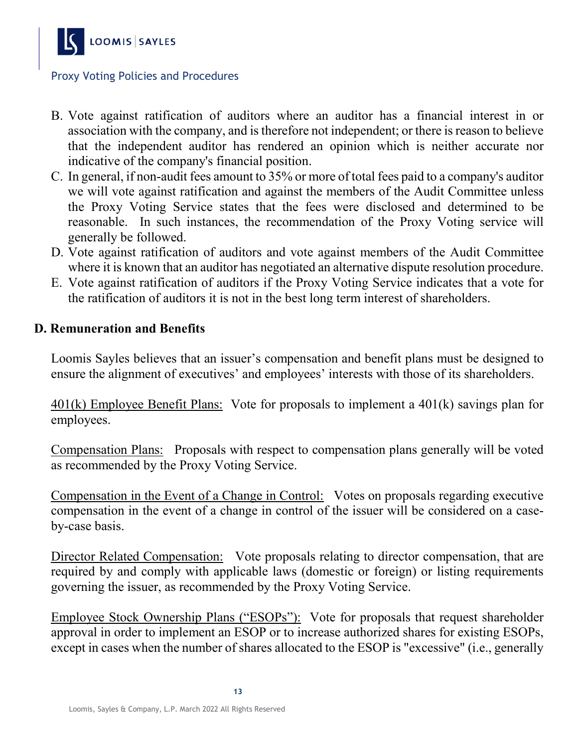

- B. Vote against ratification of auditors where an auditor has a financial interest in or association with the company, and is therefore not independent; or there is reason to believe that the independent auditor has rendered an opinion which is neither accurate nor indicative of the company's financial position.
- C. In general, if non-audit fees amount to 35% or more of total fees paid to a company's auditor we will vote against ratification and against the members of the Audit Committee unless the Proxy Voting Service states that the fees were disclosed and determined to be reasonable. In such instances, the recommendation of the Proxy Voting service will generally be followed.
- D. Vote against ratification of auditors and vote against members of the Audit Committee where it is known that an auditor has negotiated an alternative dispute resolution procedure.
- E. Vote against ratification of auditors if the Proxy Voting Service indicates that a vote for the ratification of auditors it is not in the best long term interest of shareholders.

#### **D. Remuneration and Benefits**

Loomis Sayles believes that an issuer's compensation and benefit plans must be designed to ensure the alignment of executives' and employees' interests with those of its shareholders.

401(k) Employee Benefit Plans: Vote for proposals to implement a 401(k) savings plan for employees.

Compensation Plans: Proposals with respect to compensation plans generally will be voted as recommended by the Proxy Voting Service.

Compensation in the Event of a Change in Control: Votes on proposals regarding executive compensation in the event of a change in control of the issuer will be considered on a caseby-case basis.

Director Related Compensation: Vote proposals relating to director compensation, that are required by and comply with applicable laws (domestic or foreign) or listing requirements governing the issuer, as recommended by the Proxy Voting Service.

Employee Stock Ownership Plans ("ESOPs"): Vote for proposals that request shareholder approval in order to implement an ESOP or to increase authorized shares for existing ESOPs, except in cases when the number of shares allocated to the ESOP is "excessive" (i.e., generally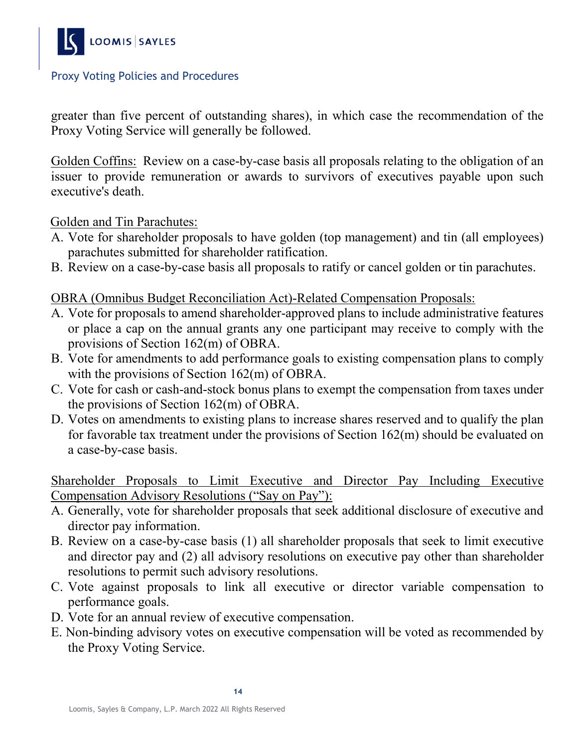

greater than five percent of outstanding shares), in which case the recommendation of the Proxy Voting Service will generally be followed.

Golden Coffins: Review on a case-by-case basis all proposals relating to the obligation of an issuer to provide remuneration or awards to survivors of executives payable upon such executive's death.

#### Golden and Tin Parachutes:

- A. Vote for shareholder proposals to have golden (top management) and tin (all employees) parachutes submitted for shareholder ratification.
- B. Review on a case-by-case basis all proposals to ratify or cancel golden or tin parachutes.

#### OBRA (Omnibus Budget Reconciliation Act)-Related Compensation Proposals:

- A. Vote for proposals to amend shareholder-approved plans to include administrative features or place a cap on the annual grants any one participant may receive to comply with the provisions of Section 162(m) of OBRA.
- B. Vote for amendments to add performance goals to existing compensation plans to comply with the provisions of Section 162(m) of OBRA.
- C. Vote for cash or cash-and-stock bonus plans to exempt the compensation from taxes under the provisions of Section 162(m) of OBRA.
- D. Votes on amendments to existing plans to increase shares reserved and to qualify the plan for favorable tax treatment under the provisions of Section 162(m) should be evaluated on a case-by-case basis.

Shareholder Proposals to Limit Executive and Director Pay Including Executive Compensation Advisory Resolutions ("Say on Pay"):

- A. Generally, vote for shareholder proposals that seek additional disclosure of executive and director pay information.
- B. Review on a case-by-case basis (1) all shareholder proposals that seek to limit executive and director pay and (2) all advisory resolutions on executive pay other than shareholder resolutions to permit such advisory resolutions.
- C. Vote against proposals to link all executive or director variable compensation to performance goals.
- D. Vote for an annual review of executive compensation.
- E. Non-binding advisory votes on executive compensation will be voted as recommended by the Proxy Voting Service.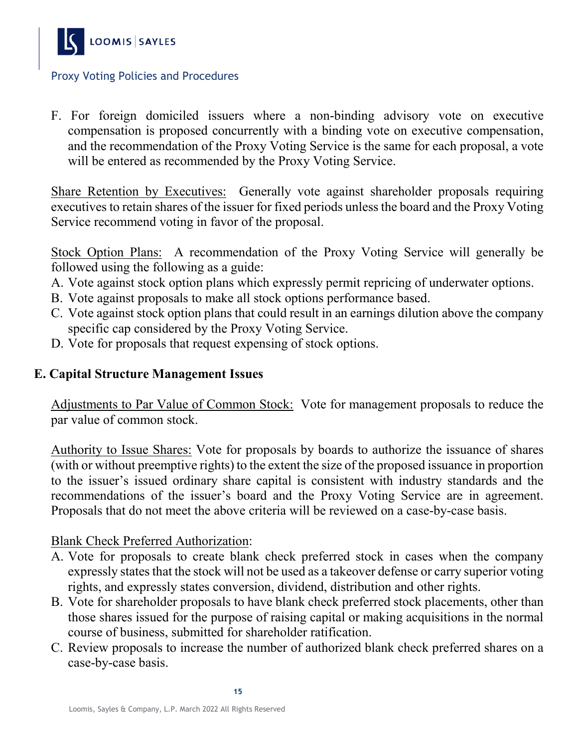

F. For foreign domiciled issuers where a non-binding advisory vote on executive compensation is proposed concurrently with a binding vote on executive compensation, and the recommendation of the Proxy Voting Service is the same for each proposal, a vote will be entered as recommended by the Proxy Voting Service.

Share Retention by Executives: Generally vote against shareholder proposals requiring executives to retain shares of the issuer for fixed periods unless the board and the Proxy Voting Service recommend voting in favor of the proposal.

Stock Option Plans: A recommendation of the Proxy Voting Service will generally be followed using the following as a guide:

- A. Vote against stock option plans which expressly permit repricing of underwater options.
- B. Vote against proposals to make all stock options performance based.
- C. Vote against stock option plans that could result in an earnings dilution above the company specific cap considered by the Proxy Voting Service.
- D. Vote for proposals that request expensing of stock options.

# **E. Capital Structure Management Issues**

Adjustments to Par Value of Common Stock: Vote for management proposals to reduce the par value of common stock.

Authority to Issue Shares: Vote for proposals by boards to authorize the issuance of shares (with or without preemptive rights) to the extent the size of the proposed issuance in proportion to the issuer's issued ordinary share capital is consistent with industry standards and the recommendations of the issuer's board and the Proxy Voting Service are in agreement. Proposals that do not meet the above criteria will be reviewed on a case-by-case basis.

#### Blank Check Preferred Authorization:

- A. Vote for proposals to create blank check preferred stock in cases when the company expressly states that the stock will not be used as a takeover defense or carry superior voting rights, and expressly states conversion, dividend, distribution and other rights.
- B. Vote for shareholder proposals to have blank check preferred stock placements, other than those shares issued for the purpose of raising capital or making acquisitions in the normal course of business, submitted for shareholder ratification.
- C. Review proposals to increase the number of authorized blank check preferred shares on a case-by-case basis.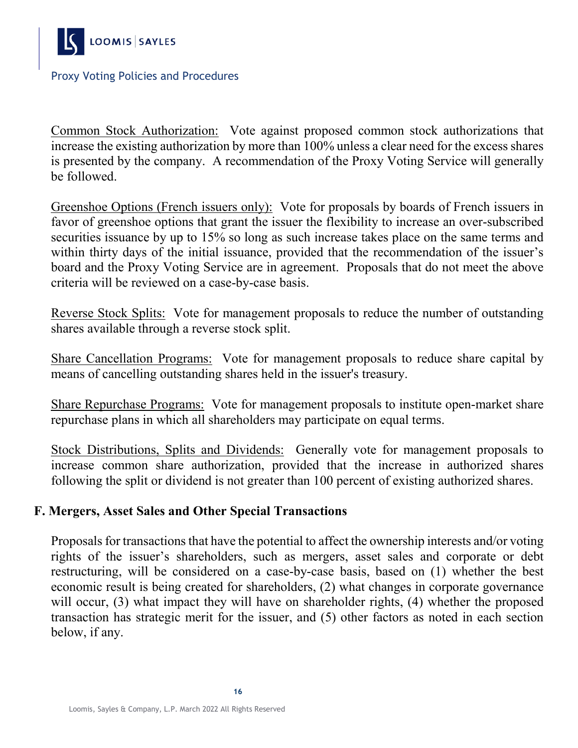

Common Stock Authorization: Vote against proposed common stock authorizations that increase the existing authorization by more than 100% unless a clear need for the excess shares is presented by the company. A recommendation of the Proxy Voting Service will generally be followed.

Greenshoe Options (French issuers only): Vote for proposals by boards of French issuers in favor of greenshoe options that grant the issuer the flexibility to increase an over-subscribed securities issuance by up to 15% so long as such increase takes place on the same terms and within thirty days of the initial issuance, provided that the recommendation of the issuer's board and the Proxy Voting Service are in agreement. Proposals that do not meet the above criteria will be reviewed on a case-by-case basis.

Reverse Stock Splits: Vote for management proposals to reduce the number of outstanding shares available through a reverse stock split.

Share Cancellation Programs: Vote for management proposals to reduce share capital by means of cancelling outstanding shares held in the issuer's treasury.

Share Repurchase Programs: Vote for management proposals to institute open-market share repurchase plans in which all shareholders may participate on equal terms.

Stock Distributions, Splits and Dividends: Generally vote for management proposals to increase common share authorization, provided that the increase in authorized shares following the split or dividend is not greater than 100 percent of existing authorized shares.

#### **F. Mergers, Asset Sales and Other Special Transactions**

Proposals for transactions that have the potential to affect the ownership interests and/or voting rights of the issuer's shareholders, such as mergers, asset sales and corporate or debt restructuring, will be considered on a case-by-case basis, based on (1) whether the best economic result is being created for shareholders, (2) what changes in corporate governance will occur, (3) what impact they will have on shareholder rights, (4) whether the proposed transaction has strategic merit for the issuer, and (5) other factors as noted in each section below, if any.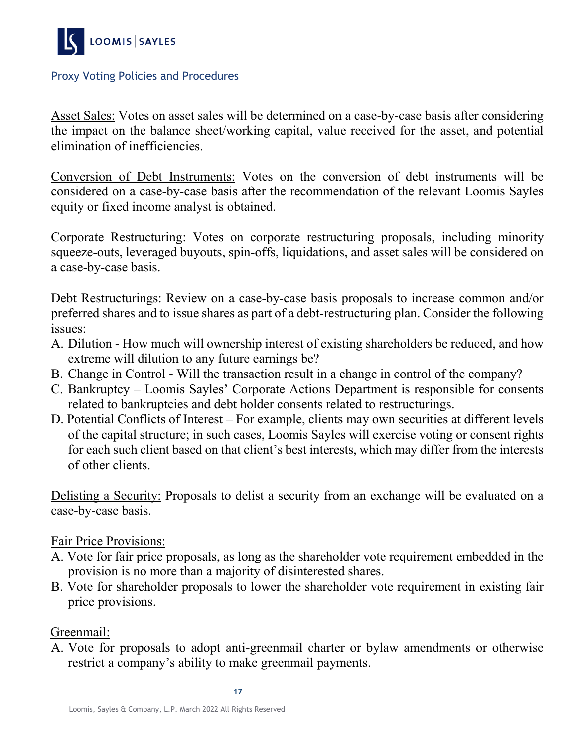

Asset Sales: Votes on asset sales will be determined on a case-by-case basis after considering the impact on the balance sheet/working capital, value received for the asset, and potential elimination of inefficiencies.

Conversion of Debt Instruments: Votes on the conversion of debt instruments will be considered on a case-by-case basis after the recommendation of the relevant Loomis Sayles equity or fixed income analyst is obtained.

Corporate Restructuring: Votes on corporate restructuring proposals, including minority squeeze-outs, leveraged buyouts, spin-offs, liquidations, and asset sales will be considered on a case-by-case basis.

Debt Restructurings: Review on a case-by-case basis proposals to increase common and/or preferred shares and to issue shares as part of a debt-restructuring plan. Consider the following issues:

- A. Dilution How much will ownership interest of existing shareholders be reduced, and how extreme will dilution to any future earnings be?
- B. Change in Control Will the transaction result in a change in control of the company?
- C. Bankruptcy Loomis Sayles' Corporate Actions Department is responsible for consents related to bankruptcies and debt holder consents related to restructurings.
- D. Potential Conflicts of Interest For example, clients may own securities at different levels of the capital structure; in such cases, Loomis Sayles will exercise voting or consent rights for each such client based on that client's best interests, which may differ from the interests of other clients.

Delisting a Security: Proposals to delist a security from an exchange will be evaluated on a case-by-case basis.

#### Fair Price Provisions:

- A. Vote for fair price proposals, as long as the shareholder vote requirement embedded in the provision is no more than a majority of disinterested shares.
- B. Vote for shareholder proposals to lower the shareholder vote requirement in existing fair price provisions.

Greenmail:

A. Vote for proposals to adopt anti-greenmail charter or bylaw amendments or otherwise restrict a company's ability to make greenmail payments.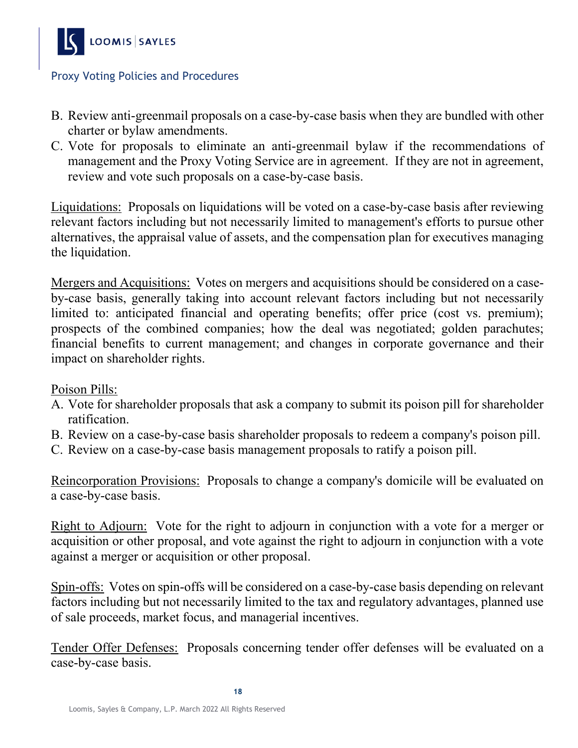

- B. Review anti-greenmail proposals on a case-by-case basis when they are bundled with other charter or bylaw amendments.
- C. Vote for proposals to eliminate an anti-greenmail bylaw if the recommendations of management and the Proxy Voting Service are in agreement. If they are not in agreement, review and vote such proposals on a case-by-case basis.

Liquidations: Proposals on liquidations will be voted on a case-by-case basis after reviewing relevant factors including but not necessarily limited to management's efforts to pursue other alternatives, the appraisal value of assets, and the compensation plan for executives managing the liquidation.

Mergers and Acquisitions: Votes on mergers and acquisitions should be considered on a caseby-case basis, generally taking into account relevant factors including but not necessarily limited to: anticipated financial and operating benefits; offer price (cost vs. premium); prospects of the combined companies; how the deal was negotiated; golden parachutes; financial benefits to current management; and changes in corporate governance and their impact on shareholder rights.

#### Poison Pills:

- A. Vote for shareholder proposals that ask a company to submit its poison pill for shareholder ratification.
- B. Review on a case-by-case basis shareholder proposals to redeem a company's poison pill.
- C. Review on a case-by-case basis management proposals to ratify a poison pill.

Reincorporation Provisions: Proposals to change a company's domicile will be evaluated on a case-by-case basis.

Right to Adjourn: Vote for the right to adjourn in conjunction with a vote for a merger or acquisition or other proposal, and vote against the right to adjourn in conjunction with a vote against a merger or acquisition or other proposal.

Spin-offs: Votes on spin-offs will be considered on a case-by-case basis depending on relevant factors including but not necessarily limited to the tax and regulatory advantages, planned use of sale proceeds, market focus, and managerial incentives.

Tender Offer Defenses: Proposals concerning tender offer defenses will be evaluated on a case-by-case basis.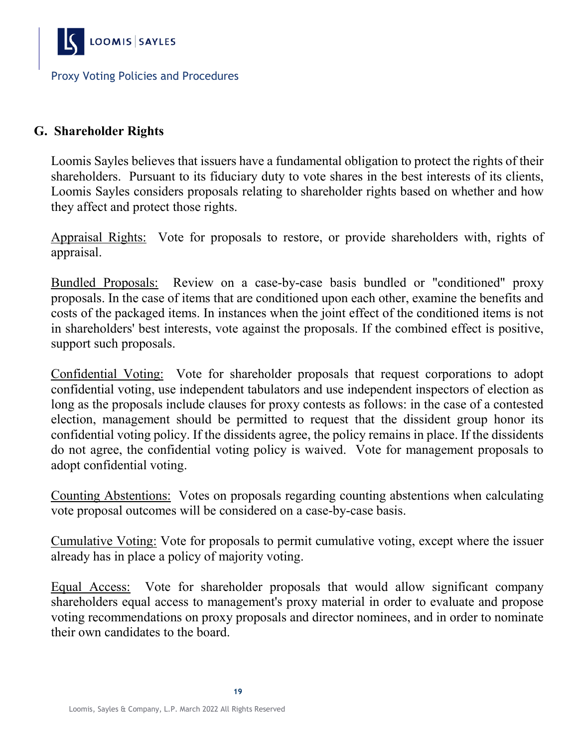

# **G. Shareholder Rights**

Loomis Sayles believes that issuers have a fundamental obligation to protect the rights of their shareholders. Pursuant to its fiduciary duty to vote shares in the best interests of its clients, Loomis Sayles considers proposals relating to shareholder rights based on whether and how they affect and protect those rights.

Appraisal Rights: Vote for proposals to restore, or provide shareholders with, rights of appraisal.

Bundled Proposals: Review on a case-by-case basis bundled or "conditioned" proxy proposals. In the case of items that are conditioned upon each other, examine the benefits and costs of the packaged items. In instances when the joint effect of the conditioned items is not in shareholders' best interests, vote against the proposals. If the combined effect is positive, support such proposals.

Confidential Voting: Vote for shareholder proposals that request corporations to adopt confidential voting, use independent tabulators and use independent inspectors of election as long as the proposals include clauses for proxy contests as follows: in the case of a contested election, management should be permitted to request that the dissident group honor its confidential voting policy. If the dissidents agree, the policy remains in place. If the dissidents do not agree, the confidential voting policy is waived. Vote for management proposals to adopt confidential voting.

Counting Abstentions: Votes on proposals regarding counting abstentions when calculating vote proposal outcomes will be considered on a case-by-case basis.

Cumulative Voting: Vote for proposals to permit cumulative voting, except where the issuer already has in place a policy of majority voting.

Equal Access: Vote for shareholder proposals that would allow significant company shareholders equal access to management's proxy material in order to evaluate and propose voting recommendations on proxy proposals and director nominees, and in order to nominate their own candidates to the board.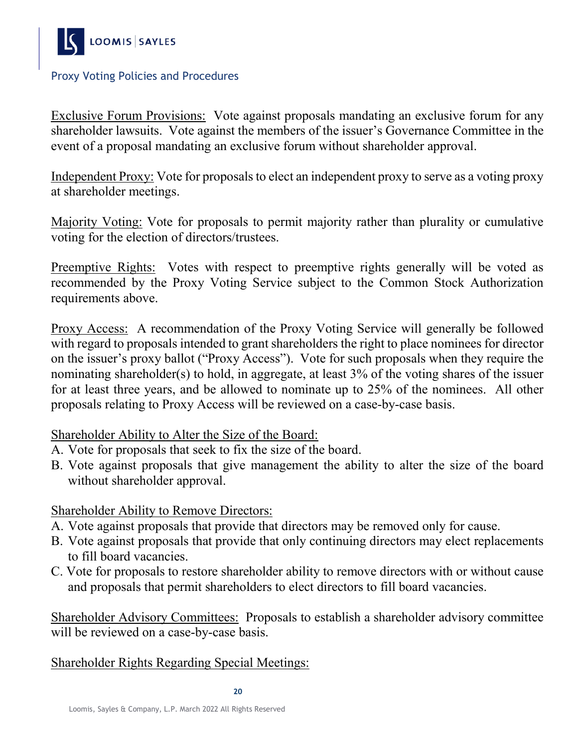

Exclusive Forum Provisions: Vote against proposals mandating an exclusive forum for any shareholder lawsuits. Vote against the members of the issuer's Governance Committee in the event of a proposal mandating an exclusive forum without shareholder approval.

Independent Proxy: Vote for proposals to elect an independent proxy to serve as a voting proxy at shareholder meetings.

Majority Voting: Vote for proposals to permit majority rather than plurality or cumulative voting for the election of directors/trustees.

Preemptive Rights: Votes with respect to preemptive rights generally will be voted as recommended by the Proxy Voting Service subject to the Common Stock Authorization requirements above.

Proxy Access: A recommendation of the Proxy Voting Service will generally be followed with regard to proposals intended to grant shareholders the right to place nominees for director on the issuer's proxy ballot ("Proxy Access"). Vote for such proposals when they require the nominating shareholder(s) to hold, in aggregate, at least 3% of the voting shares of the issuer for at least three years, and be allowed to nominate up to 25% of the nominees. All other proposals relating to Proxy Access will be reviewed on a case-by-case basis.

Shareholder Ability to Alter the Size of the Board:

- A. Vote for proposals that seek to fix the size of the board.
- B. Vote against proposals that give management the ability to alter the size of the board without shareholder approval.

# Shareholder Ability to Remove Directors:

- A. Vote against proposals that provide that directors may be removed only for cause.
- B. Vote against proposals that provide that only continuing directors may elect replacements to fill board vacancies.
- C. Vote for proposals to restore shareholder ability to remove directors with or without cause and proposals that permit shareholders to elect directors to fill board vacancies.

Shareholder Advisory Committees: Proposals to establish a shareholder advisory committee will be reviewed on a case-by-case basis.

#### Shareholder Rights Regarding Special Meetings: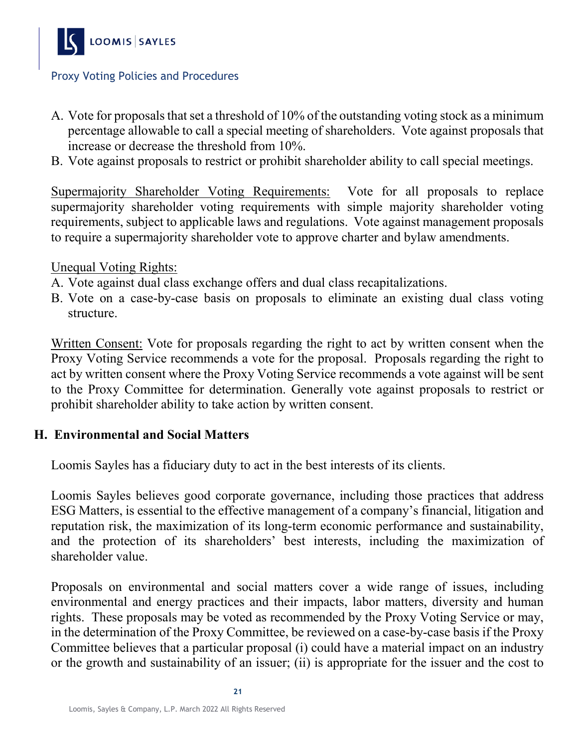

- A. Vote for proposals that set a threshold of 10% of the outstanding voting stock as a minimum percentage allowable to call a special meeting of shareholders. Vote against proposals that increase or decrease the threshold from 10%.
- B. Vote against proposals to restrict or prohibit shareholder ability to call special meetings.

Supermajority Shareholder Voting Requirements: Vote for all proposals to replace supermajority shareholder voting requirements with simple majority shareholder voting requirements, subject to applicable laws and regulations. Vote against management proposals to require a supermajority shareholder vote to approve charter and bylaw amendments.

Unequal Voting Rights:

- A. Vote against dual class exchange offers and dual class recapitalizations.
- B. Vote on a case-by-case basis on proposals to eliminate an existing dual class voting structure.

Written Consent: Vote for proposals regarding the right to act by written consent when the Proxy Voting Service recommends a vote for the proposal. Proposals regarding the right to act by written consent where the Proxy Voting Service recommends a vote against will be sent to the Proxy Committee for determination. Generally vote against proposals to restrict or prohibit shareholder ability to take action by written consent.

#### **H. Environmental and Social Matters**

Loomis Sayles has a fiduciary duty to act in the best interests of its clients.

Loomis Sayles believes good corporate governance, including those practices that address ESG Matters, is essential to the effective management of a company's financial, litigation and reputation risk, the maximization of its long-term economic performance and sustainability, and the protection of its shareholders' best interests, including the maximization of shareholder value.

Proposals on environmental and social matters cover a wide range of issues, including environmental and energy practices and their impacts, labor matters, diversity and human rights. These proposals may be voted as recommended by the Proxy Voting Service or may, in the determination of the Proxy Committee, be reviewed on a case-by-case basis if the Proxy Committee believes that a particular proposal (i) could have a material impact on an industry or the growth and sustainability of an issuer; (ii) is appropriate for the issuer and the cost to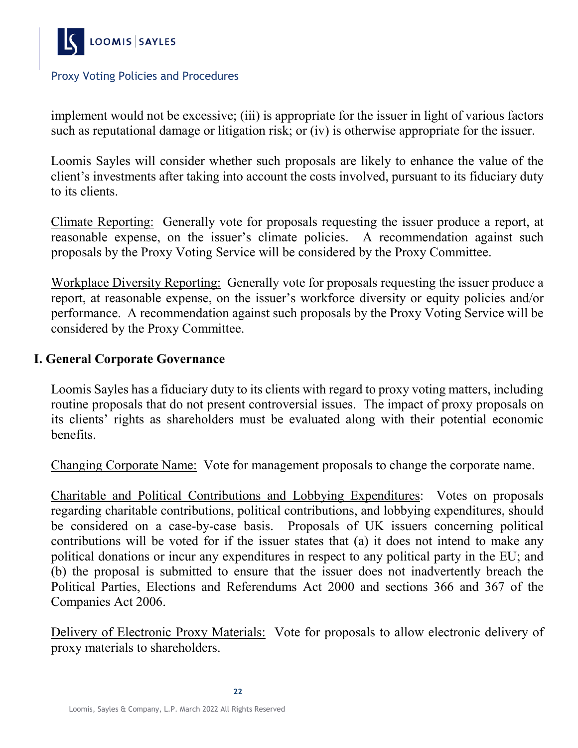

implement would not be excessive; (iii) is appropriate for the issuer in light of various factors such as reputational damage or litigation risk; or (iv) is otherwise appropriate for the issuer.

Loomis Sayles will consider whether such proposals are likely to enhance the value of the client's investments after taking into account the costs involved, pursuant to its fiduciary duty to its clients.

Climate Reporting: Generally vote for proposals requesting the issuer produce a report, at reasonable expense, on the issuer's climate policies. A recommendation against such proposals by the Proxy Voting Service will be considered by the Proxy Committee.

Workplace Diversity Reporting: Generally vote for proposals requesting the issuer produce a report, at reasonable expense, on the issuer's workforce diversity or equity policies and/or performance. A recommendation against such proposals by the Proxy Voting Service will be considered by the Proxy Committee.

#### **I. General Corporate Governance**

Loomis Sayles has a fiduciary duty to its clients with regard to proxy voting matters, including routine proposals that do not present controversial issues. The impact of proxy proposals on its clients' rights as shareholders must be evaluated along with their potential economic benefits.

Changing Corporate Name: Vote for management proposals to change the corporate name.

Charitable and Political Contributions and Lobbying Expenditures: Votes on proposals regarding charitable contributions, political contributions, and lobbying expenditures, should be considered on a case-by-case basis. Proposals of UK issuers concerning political contributions will be voted for if the issuer states that (a) it does not intend to make any political donations or incur any expenditures in respect to any political party in the EU; and (b) the proposal is submitted to ensure that the issuer does not inadvertently breach the Political Parties, Elections and Referendums Act 2000 and sections 366 and 367 of the Companies Act 2006.

Delivery of Electronic Proxy Materials: Vote for proposals to allow electronic delivery of proxy materials to shareholders.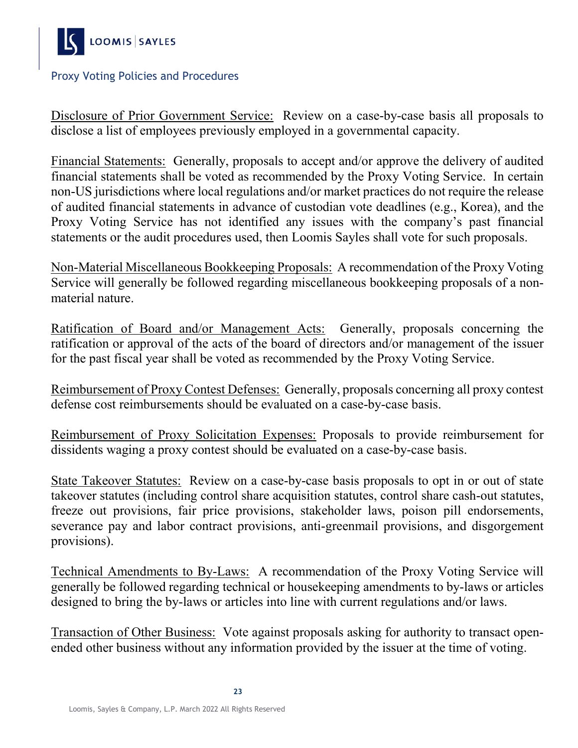

Disclosure of Prior Government Service: Review on a case-by-case basis all proposals to disclose a list of employees previously employed in a governmental capacity.

Financial Statements: Generally, proposals to accept and/or approve the delivery of audited financial statements shall be voted as recommended by the Proxy Voting Service. In certain non-US jurisdictions where local regulations and/or market practices do not require the release of audited financial statements in advance of custodian vote deadlines (e.g., Korea), and the Proxy Voting Service has not identified any issues with the company's past financial statements or the audit procedures used, then Loomis Sayles shall vote for such proposals.

Non-Material Miscellaneous Bookkeeping Proposals: A recommendation of the Proxy Voting Service will generally be followed regarding miscellaneous bookkeeping proposals of a nonmaterial nature.

Ratification of Board and/or Management Acts: Generally, proposals concerning the ratification or approval of the acts of the board of directors and/or management of the issuer for the past fiscal year shall be voted as recommended by the Proxy Voting Service.

Reimbursement of Proxy Contest Defenses: Generally, proposals concerning all proxy contest defense cost reimbursements should be evaluated on a case-by-case basis.

Reimbursement of Proxy Solicitation Expenses: Proposals to provide reimbursement for dissidents waging a proxy contest should be evaluated on a case-by-case basis.

State Takeover Statutes: Review on a case-by-case basis proposals to opt in or out of state takeover statutes (including control share acquisition statutes, control share cash-out statutes, freeze out provisions, fair price provisions, stakeholder laws, poison pill endorsements, severance pay and labor contract provisions, anti-greenmail provisions, and disgorgement provisions).

Technical Amendments to By-Laws: A recommendation of the Proxy Voting Service will generally be followed regarding technical or housekeeping amendments to by-laws or articles designed to bring the by-laws or articles into line with current regulations and/or laws.

Transaction of Other Business: Vote against proposals asking for authority to transact openended other business without any information provided by the issuer at the time of voting.